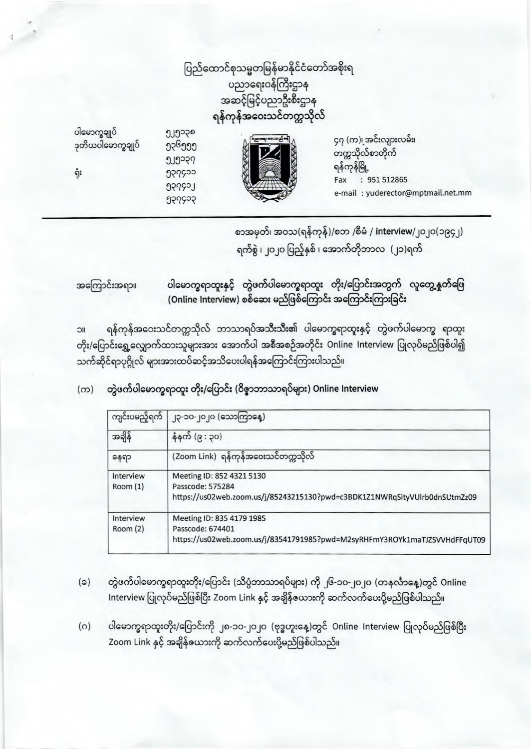ပြည်ထောင်စုသမ္မတမြန်မာနိုင်ငံတော်အစိုးရ ပညာရေး၀န်ကြီးဌာန အဆင့်မြင့်ပညာဦးစီးဌာန ရန်ကုန်အဝေးသင်တက္ကသိုလ်



ရုံး



ງ၂၅၁၃၈ ງວຸ6ງງງ ງ၂၅၁၃၇ ၅၃၇၄၁၁ Lesbec

956556

၄၇ (က)၊ အင်းလျားလမ်း၊ တက္ကသိုလ်စာတိုက် ရန်ကုန်မြို့ Fax : 951 512865 e-mail: yuderector@mptmail.net.mm

စာအမှတ်၊ အဝသ(ရန်ကုန်)/စဘ /စီမံ / interview/၂၀၂၀(၁၉၄၂) ရက်စွဲ ၊ ၂၀၂၀ ပြည့်နှစ် ၊ အောက်တိုဘာလ (၂၁)ရက်

ပါမောက္ခရာထူးနှင့် တွဲဖက်ပါမောက္ခရာထူး တိုး/ပြောင်းအတွက် လူတွေ့နှုတ်ဖြေ အကြောင်းအရာ။ (Online Interview) စစ်ဆေး မည်ဖြစ်ကြောင်း အကြောင်းကြားခြင်း

ရန်ကုန်အဝေးသင်တက္ကသိုလ် ဘာသာရပ်အသီးသီး၏ ပါမောက္ခရာထူးနှင့် တွဲဖက်ပါမောက္ခ ရာထူး IIC တိုး/ပြောင်းရွှေ့လျှောက်ထားသူများအား အောက်ပါ အစီအစဉ်အတိုင်း Online Interview ပြုလုပ်မည်ဖြစ်ပါ၍ သက်ဆိုင်ရာပုဂ္ဂိုလ် များအားထပ်ဆင့်အသိပေးပါရန်အကြောင်းကြားပါသည်။

တွဲဖက်ပါမောက္ခရာထူး တိုး/ပြောင်း (၀ိဇ္ဇာဘာသာရပ်များ) Online Interview  $(m)$ 

| ကျင်းပမည့်ရက်        | ၂၃-၁၀-၂၀၂၀ (သောကြာနေ့)                                                                                                      |
|----------------------|-----------------------------------------------------------------------------------------------------------------------------|
| အချိန်               | နံနက် (၉ : ၃၀)                                                                                                              |
| နေရာ                 | (Zoom Link) ရန်ကုန်အဝေးသင်တက္ကသိုလ်                                                                                         |
| Interview<br>Room(1) | Meeting ID: 852 4321 5130<br>Passcode: 575284<br>https://us02web.zoom.us/j/85243215130?pwd=c3BDK1Z1NWRqSityVUlrb0dnSUtmZz09 |
| Interview<br>Room(2) | Meeting ID: 835 4179 1985<br>Passcode: 674401<br>https://us02web.zoom.us/j/83541791985?pwd=M2syRHFmY3ROYk1maTJZSVVHdFFqUT09 |

- တွဲဖက်ပါမောက္ခရာထူးတိုး/ပြောင်း (သိပ္ပံဘာသာရပ်များ) ကို ၂၆-၁၀-၂၀၂၀ (တနင်္လာနေ့)တွင် Online  $(a)$ Interview ပြုလုပ်မည်ဖြစ်ပြီး Zoom Link နှင့် အချိန်ယေားကို ဆက်လက်ပေးပို့မည်ဖြစ်ပါသည်။
- ပါမောက္ခရာထူးတိုး/ပြောင်းကို ၂၈-၁၀-၂၀၂၀ (ဗုဒ္ဓဟူးနေ့)တွင် Online Interview ပြုလုပ်မည်ဖြစ်ပြီး  $(0)$ Zoom Link နှင့် အချိန်ယေားကို ဆက်လက်ပေးပို့မည်ဖြစ်ပါသည်။